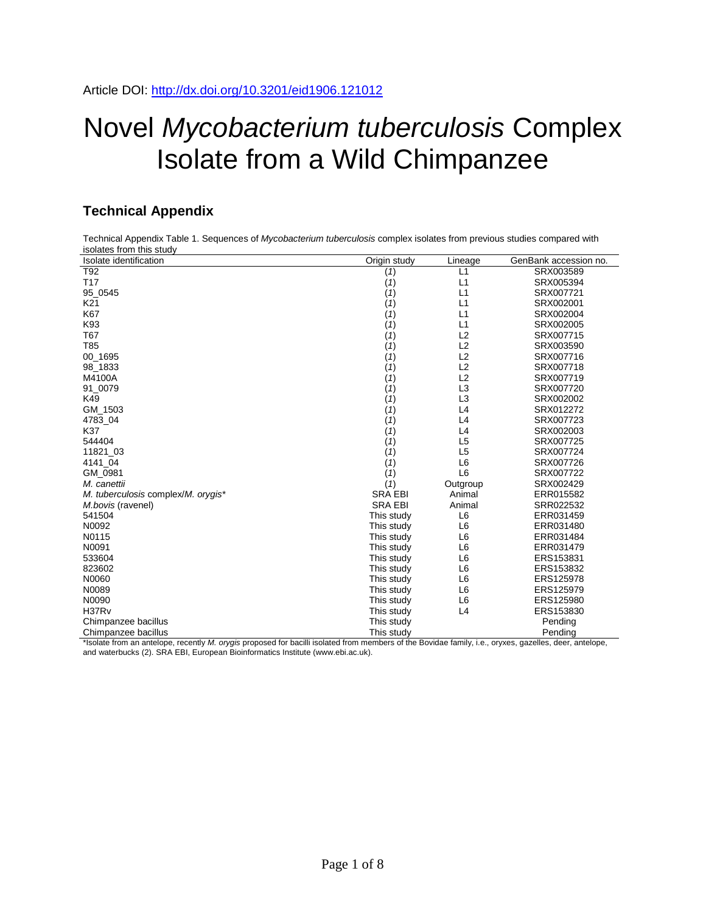## Novel *Mycobacterium tuberculosis* Complex Isolate from a Wild Chimpanzee

## **Technical Appendix**

Technical Appendix Table 1. Sequences of *Mycobacterium tuberculosis* complex isolates from previous studies compared with isolates from this study

| Isolate identification             | Origin study   | Lineage        | GenBank accession no. |
|------------------------------------|----------------|----------------|-----------------------|
| T <sub>92</sub>                    | (1)            | L1             | SRX003589             |
| T <sub>17</sub>                    | (1)            | L1             | SRX005394             |
| 95_0545                            | (1)            | L1             | SRX007721             |
| K <sub>21</sub>                    | (1)            | L1             | SRX002001             |
| K67                                | (1)            | L1             | SRX002004             |
| K93                                | (1)            | L1             | SRX002005             |
| T67                                | (1)            | L <sub>2</sub> | SRX007715             |
| <b>T85</b>                         | (1)            | L2             | SRX003590             |
| 00_1695                            | (1)            | L2             | SRX007716             |
| 98_1833                            | (1)            | L2             | SRX007718             |
| M4100A                             | (1)            | L2             | SRX007719             |
| 91_0079                            | (1)            | L3             | SRX007720             |
| K49                                | (1)            | L3             | SRX002002             |
| GM 1503                            | (1)            | L4             | SRX012272             |
| 4783_04                            | (1)            | L4             | SRX007723             |
| K37                                | (1)            | L4             | SRX002003             |
| 544404                             | (1)            | L <sub>5</sub> | SRX007725             |
| 11821 03                           | (1)            | L <sub>5</sub> | SRX007724             |
| 4141 04                            | (1)            | L <sub>6</sub> | SRX007726             |
| GM 0981                            | (1)            | L <sub>6</sub> | SRX007722             |
| M. canettii                        | (1)            | Outgroup       | SRX002429             |
| M. tuberculosis complex/M. orygis* | <b>SRA EBI</b> | Animal         | ERR015582             |
| M.bovis (ravenel)                  | <b>SRA EBI</b> | Animal         | SRR022532             |
| 541504                             | This study     | L6             | ERR031459             |
| N0092                              | This study     | L <sub>6</sub> | ERR031480             |
| N0115                              | This study     | L6             | ERR031484             |
| N0091                              | This study     | L <sub>6</sub> | ERR031479             |
| 533604                             | This study     | L <sub>6</sub> | ERS153831             |
| 823602                             | This study     | L <sub>6</sub> | ERS153832             |
| N0060                              | This study     | L <sub>6</sub> | ERS125978             |
| N0089                              | This study     | L <sub>6</sub> | ERS125979             |
| N0090                              | This study     | L6             | ERS125980             |
| H37Rv                              | This study     | L4             | ERS153830             |
| Chimpanzee bacillus                | This study     |                | Pending               |
| Chimpanzee bacillus                | This study     |                | Pending               |

\*Isolate from an antelope, recently *M. orygis* proposed for bacilli isolated from members of the Bovidae family, i.e., oryxes, gazelles, deer, antelope, and waterbucks (2). SRA EBI, European Bioinformatics Institute (www.ebi.ac.uk).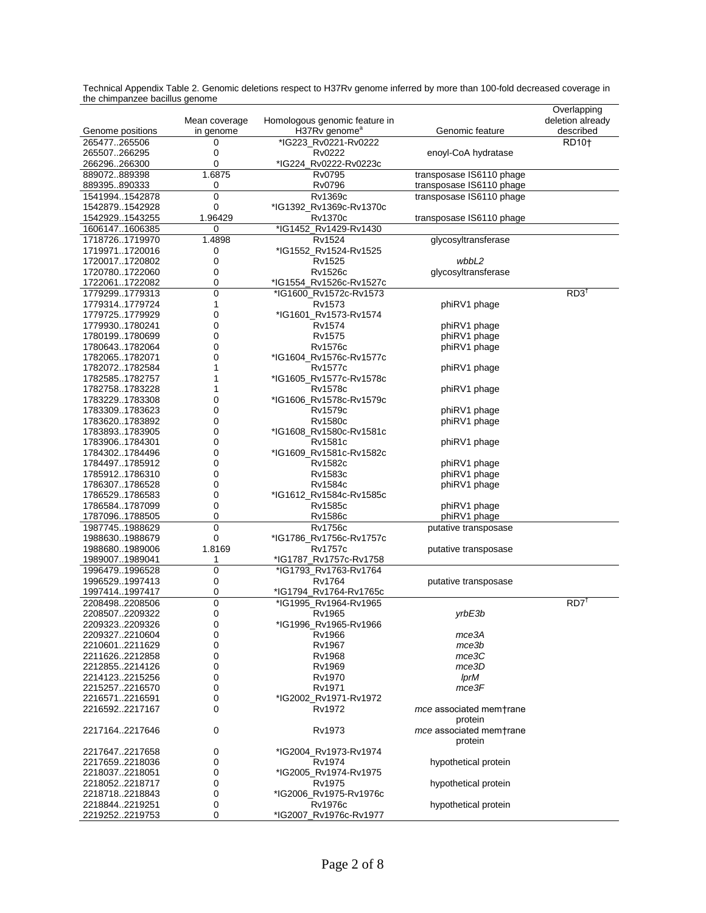| the emmpanese baemas geneme<br>Genome positions | Mean coverage<br>in genome | Homologous genomic feature in<br>H37Rv genome <sup>a</sup> | Genomic feature                    | Overlapping<br>deletion already<br>described |
|-------------------------------------------------|----------------------------|------------------------------------------------------------|------------------------------------|----------------------------------------------|
| 265477265506                                    | 0                          | *IG223_Rv0221-Rv0222                                       |                                    | RD10 <sup>+</sup>                            |
| 265507266295                                    | 0                          | Rv0222                                                     | enoyl-CoA hydratase                |                                              |
| 266296266300                                    | 0                          | *IG224_Rv0222-Rv0223c                                      |                                    |                                              |
| 889072889398                                    | 1.6875                     | Rv0795                                                     | transposase IS6110 phage           |                                              |
| 889395890333                                    | 0                          | Rv0796                                                     | transposase IS6110 phage           |                                              |
| 15419941542878                                  | 0                          | Rv1369c                                                    | transposase IS6110 phage           |                                              |
| 15428791542928                                  | 0                          | *IG1392_Rv1369c-Rv1370c                                    |                                    |                                              |
| 15429291543255                                  | 1.96429                    | <b>Rv1370c</b>                                             | transposase IS6110 phage           |                                              |
| 16061471606385                                  | 0                          | *IG1452_Rv1429-Rv1430                                      |                                    |                                              |
| 17187261719970                                  | 1.4898                     | Rv1524                                                     | glycosyltransferase                |                                              |
| 17199711720016                                  | 0                          | *IG1552_Rv1524-Rv1525                                      |                                    |                                              |
| 17200171720802                                  | 0                          | Rv1525                                                     | wbbL2                              |                                              |
| 17207801722060                                  | 0                          | Rv1526c                                                    | glycosyltransferase                |                                              |
| 17220611722082                                  | 0                          | *IG1554_Rv1526c-Rv1527c                                    |                                    |                                              |
| 17792991779313                                  | 0                          | *IG1600_Rv1572c-Rv1573                                     |                                    | $RD3^{\dagger}$                              |
| 17793141779724                                  | 1                          | Rv1573                                                     | phiRV1 phage                       |                                              |
| 17797251779929                                  | 0                          | *IG1601_Rv1573-Rv1574                                      |                                    |                                              |
| 17799301780241                                  | 0                          | Rv1574                                                     | phiRV1 phage                       |                                              |
| 17801991780699                                  | 0                          | Rv1575                                                     | phiRV1 phage                       |                                              |
| 17806431782064                                  | 0                          | <b>Rv1576c</b>                                             | phiRV1 phage                       |                                              |
| 17820651782071                                  | 0                          | *IG1604_Rv1576c-Rv1577c                                    |                                    |                                              |
| 17820721782584                                  | 1                          | Rv1577c                                                    | phiRV1 phage                       |                                              |
| 17825851782757                                  | 1                          | *IG1605_Rv1577c-Rv1578c                                    |                                    |                                              |
| 17827581783228                                  | 1                          | Rv1578c                                                    | phiRV1 phage                       |                                              |
| 17832291783308                                  | 0                          | *IG1606_Rv1578c-Rv1579c                                    |                                    |                                              |
| 17833091783623                                  | 0                          | Rv1579c                                                    | phiRV1 phage                       |                                              |
| 17836201783892                                  | 0                          | Rv1580c                                                    | phiRV1 phage                       |                                              |
| 17838931783905                                  | 0                          | *IG1608_Rv1580c-Rv1581c                                    |                                    |                                              |
| 17839061784301                                  | 0                          | Rv1581c                                                    | phiRV1 phage                       |                                              |
| 17843021784496                                  | 0                          | *IG1609_Rv1581c-Rv1582c                                    |                                    |                                              |
| 17844971785912                                  | 0                          | Rv1582c                                                    | phiRV1 phage                       |                                              |
| 17859121786310                                  | 0                          | Rv1583c                                                    | phiRV1 phage                       |                                              |
| 17863071786528                                  | 0                          | Rv1584c                                                    | phiRV1 phage                       |                                              |
| 17865291786583                                  | 0                          | *IG1612_Rv1584c-Rv1585c                                    |                                    |                                              |
| 17865841787099                                  | 0                          | Rv1585c                                                    | phiRV1 phage                       |                                              |
| 17870961788505                                  | 0                          | Rv1586c                                                    | phiRV1 phage                       |                                              |
| 19877451988629                                  | 0                          | <b>Rv1756c</b>                                             | putative transposase               |                                              |
| 19886301988679                                  | 0                          | *IG1786_Rv1756c-Rv1757c                                    |                                    |                                              |
| 19886801989006                                  | 1.8169                     | Rv1757c                                                    | putative transposase               |                                              |
| 19890071989041                                  | 1                          | *IG1787 Rv1757c-Rv1758                                     |                                    |                                              |
| 19964791996528                                  | 0                          | *IG1793 Rv1763-Rv1764                                      |                                    |                                              |
| 19965291997413                                  | 0                          | Rv1764                                                     | putative transposase               |                                              |
| 19974141997417                                  | 0                          | *IG1794_Rv1764-Rv1765c                                     |                                    |                                              |
| 22084982208506                                  | 0                          | *IG1995 Rv1964-Rv1965                                      |                                    | $RD7^T$                                      |
| 22085072209322                                  | 0                          | Rv1965                                                     | yrbE3b                             |                                              |
| 22093232209326                                  | 0                          | *IG1996_Rv1965-Rv1966                                      |                                    |                                              |
| 22093272210604                                  | 0                          | Rv1966                                                     | mce3A                              |                                              |
| 22106012211629                                  | 0                          | Rv1967                                                     | mce3b<br>mce3C                     |                                              |
| 22116262212858<br>22128552214126                | 0                          | Rv1968<br>Rv1969                                           | mce3D                              |                                              |
| 22141232215256                                  | 0<br>0                     | Rv1970                                                     | <b>IprM</b>                        |                                              |
| 22152572216570                                  | 0                          | Rv1971                                                     | mce3F                              |                                              |
| 22165712216591                                  | 0                          | *IG2002_Rv1971-Rv1972                                      |                                    |                                              |
| 22165922217167                                  | 0                          | Rv1972                                                     | mce associated mem+rane            |                                              |
|                                                 |                            |                                                            | protein                            |                                              |
| 22171642217646                                  | 0                          | Rv1973                                                     | mce associated mem+rane<br>protein |                                              |
| 22176472217658                                  | 0                          | *IG2004_Rv1973-Rv1974                                      |                                    |                                              |
| 22176592218036                                  | 0                          | Rv1974                                                     | hypothetical protein               |                                              |
| 22180372218051                                  | 0                          | *IG2005_Rv1974-Rv1975                                      |                                    |                                              |
| 22180522218717                                  | 0                          | Rv1975                                                     | hypothetical protein               |                                              |
| 22187182218843                                  | 0                          | *IG2006_Rv1975-Rv1976c                                     |                                    |                                              |
| 22188442219251                                  | 0                          | Rv1976c                                                    | hypothetical protein               |                                              |
| 22192522219753                                  | 0                          | *IG2007_Rv1976c-Rv1977                                     |                                    |                                              |

Technical Appendix Table 2. Genomic deletions respect to H37Rv genome inferred by more than 100-fold decreased coverage in the chimpanzee bacillus genome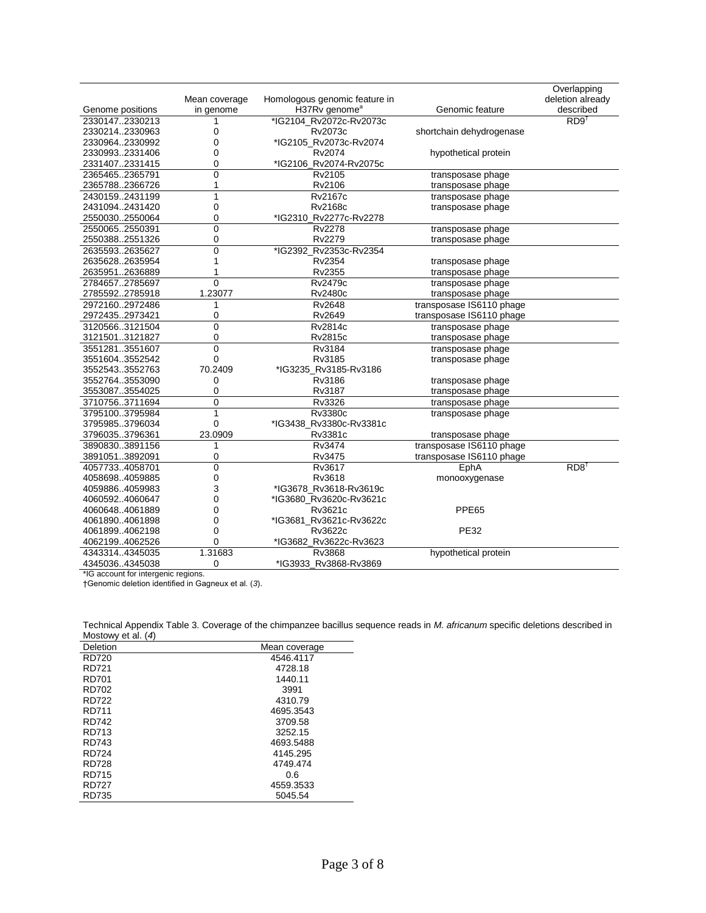|                  |                |                               |                          | Overlapping      |
|------------------|----------------|-------------------------------|--------------------------|------------------|
|                  | Mean coverage  | Homologous genomic feature in |                          | deletion already |
| Genome positions | in genome      | H37Rv genome <sup>a</sup>     | Genomic feature          | described        |
| 23301472330213   | 1              | *IG2104 Rv2072c-Rv2073c       |                          | RD9 <sup>†</sup> |
| 23302142330963   | 0              | Rv2073c                       | shortchain dehydrogenase |                  |
| 23309642330992   | 0              | *IG2105 Rv2073c-Rv2074        |                          |                  |
| 23309932331406   | 0              | Rv2074                        | hypothetical protein     |                  |
| 23314072331415   | 0              | *IG2106_Rv2074-Rv2075c        |                          |                  |
| 23654652365791   | 0              | Rv2105                        | transposase phage        |                  |
| 23657882366726   | 1              | Rv2106                        | transposase phage        |                  |
| 24301592431199   | 1              | Rv2167c                       | transposase phage        |                  |
| 24310942431420   | 0              | <b>Rv2168c</b>                | transposase phage        |                  |
| 25500302550064   | 0              | *IG2310 Rv2277c-Rv2278        |                          |                  |
| 25500652550391   | $\overline{0}$ | Rv2278                        | transposase phage        |                  |
| 25503882551326   | 0              | Rv2279                        | transposase phage        |                  |
| 26355932635627   | 0              | *IG2392_Rv2353c-Rv2354        |                          |                  |
| 26356282635954   | 1              | Rv2354                        | transposase phage        |                  |
| 26359512636889   | 1              | Rv2355                        | transposase phage        |                  |
| 27846572785697   | $\overline{0}$ | <b>Rv2479c</b>                | transposase phage        |                  |
| 27855922785918   | 1.23077        | Rv2480c                       | transposase phage        |                  |
| 29721602972486   | 1              | <b>Rv2648</b>                 | transposase IS6110 phage |                  |
| 29724352973421   | 0              | Rv2649                        | transposase IS6110 phage |                  |
| 31205663121504   | $\overline{0}$ | <b>Rv2814c</b>                | transposase phage        |                  |
| 31215013121827   | 0              | <b>Rv2815c</b>                | transposase phage        |                  |
| 35512813551607   | 0              | Rv3184                        | transposase phage        |                  |
| 35516043552542   | 0              | Rv3185                        | transposase phage        |                  |
| 35525433552763   | 70.2409        | *IG3235 Rv3185-Rv3186         |                          |                  |
| 35527643553090   | 0              | Rv3186                        | transposase phage        |                  |
| 35530873554025   | 0              | Rv3187                        | transposase phage        |                  |
| 37107563711694   | 0              | Rv3326                        | transposase phage        |                  |
| 37951003795984   | $\mathbf{1}$   | Rv3380c                       | transposase phage        |                  |
| 37959853796034   | 0              | *IG3438 Rv3380c-Rv3381c       |                          |                  |
| 37960353796361   | 23.0909        | Rv3381c                       | transposase phage        |                  |
| 38908303891156   | 1              | Rv3474                        | transposase IS6110 phage |                  |
| 38910513892091   | 0              | Rv3475                        | transposase IS6110 phage |                  |
| 40577334058701   | 0              | Rv3617                        | EphA                     | RDB <sup>†</sup> |
| 40586984059885   | 0              | Rv3618                        | monooxygenase            |                  |
| 40598864059983   | 3              | *IG3678 Rv3618-Rv3619c        |                          |                  |
| 40605924060647   | 0              | *IG3680_Rv3620c-Rv3621c       |                          |                  |
| 40606484061889   | 0              | Rv3621c                       | PPE65                    |                  |
| 40618904061898   | 0              | *IG3681 Rv3621c-Rv3622c       |                          |                  |
| 40618994062198   | 0              | <b>Rv3622c</b>                | <b>PE32</b>              |                  |
| 40621994062526   | 0              | *IG3682 Rv3622c-Rv3623        |                          |                  |
| 43433144345035   | 1.31683        | Rv3868                        | hypothetical protein     |                  |
| 43450364345038   | 0              | *IG3933 Rv3868-Rv3869         |                          |                  |

\*IG account for intergenic regions.

†Genomic deletion identified in Gagneux et al. (*3*).

| <b>RD720</b><br>4546.4117<br><b>RD721</b><br>4728.18<br><b>RD701</b><br>1440.11<br>RD702<br>3991<br><b>RD722</b><br>4310.79<br>RD711<br>4695.3543<br><b>RD742</b><br>3709.58<br>RD713<br>3252.15<br>RD743<br>4693.5488<br>RD724<br>4145.295<br><b>RD728</b><br>4749.474<br>RD715<br>0.6<br>RD727<br>4559.3533<br>RD735<br>5045.54 | Deletion | Mean coverage |  |
|-----------------------------------------------------------------------------------------------------------------------------------------------------------------------------------------------------------------------------------------------------------------------------------------------------------------------------------|----------|---------------|--|
|                                                                                                                                                                                                                                                                                                                                   |          |               |  |
|                                                                                                                                                                                                                                                                                                                                   |          |               |  |
|                                                                                                                                                                                                                                                                                                                                   |          |               |  |
|                                                                                                                                                                                                                                                                                                                                   |          |               |  |
|                                                                                                                                                                                                                                                                                                                                   |          |               |  |
|                                                                                                                                                                                                                                                                                                                                   |          |               |  |
|                                                                                                                                                                                                                                                                                                                                   |          |               |  |
|                                                                                                                                                                                                                                                                                                                                   |          |               |  |
|                                                                                                                                                                                                                                                                                                                                   |          |               |  |
|                                                                                                                                                                                                                                                                                                                                   |          |               |  |
|                                                                                                                                                                                                                                                                                                                                   |          |               |  |
|                                                                                                                                                                                                                                                                                                                                   |          |               |  |
|                                                                                                                                                                                                                                                                                                                                   |          |               |  |
|                                                                                                                                                                                                                                                                                                                                   |          |               |  |

Technical Appendix Table 3. Coverage of the chimpanzee bacillus sequence reads in *M. africanum* specific deletions described in Mostowy et al. (*4*)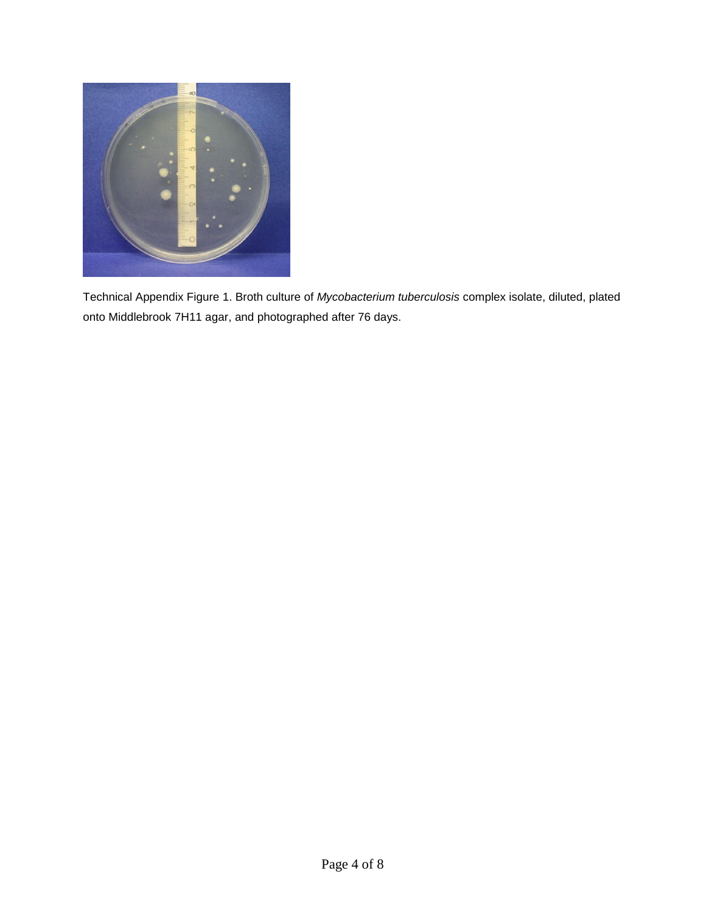

Technical Appendix Figure 1. Broth culture of *Mycobacterium tuberculosis* complex isolate, diluted, plated onto Middlebrook 7H11 agar, and photographed after 76 days.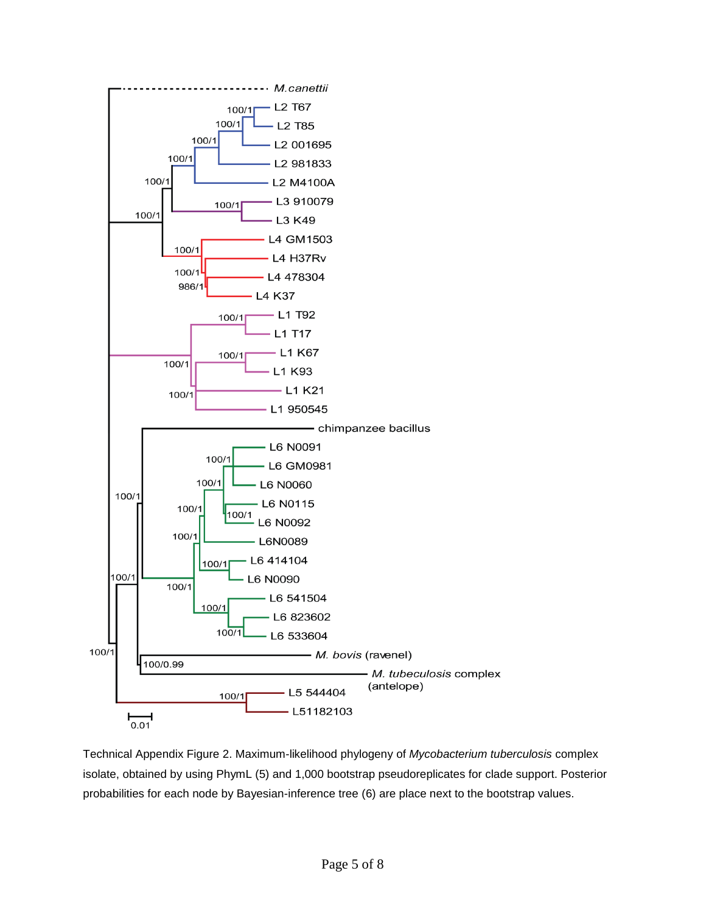

Technical Appendix Figure 2. Maximum-likelihood phylogeny of *Mycobacterium tuberculosis* complex isolate, obtained by using PhymL (5) and 1,000 bootstrap pseudoreplicates for clade support. Posterior probabilities for each node by Bayesian-inference tree (6) are place next to the bootstrap values.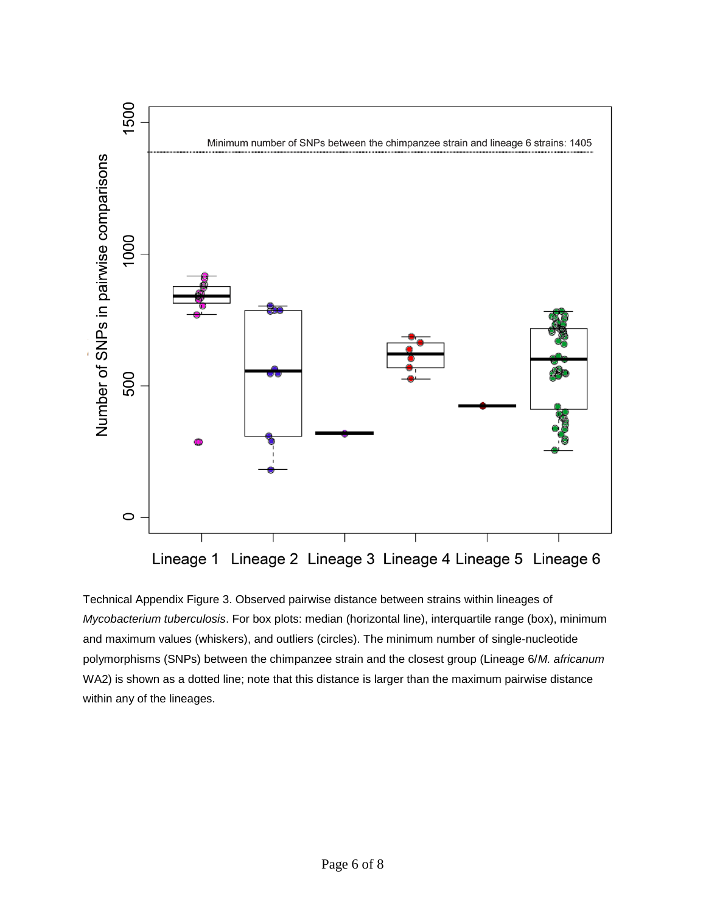

Technical Appendix Figure 3. Observed pairwise distance between strains within lineages of *Mycobacterium tuberculosis*. For box plots: median (horizontal line), interquartile range (box), minimum and maximum values (whiskers), and outliers (circles). The minimum number of single-nucleotide polymorphisms (SNPs) between the chimpanzee strain and the closest group (Lineage 6/*M. africanum* WA2) is shown as a dotted line; note that this distance is larger than the maximum pairwise distance within any of the lineages.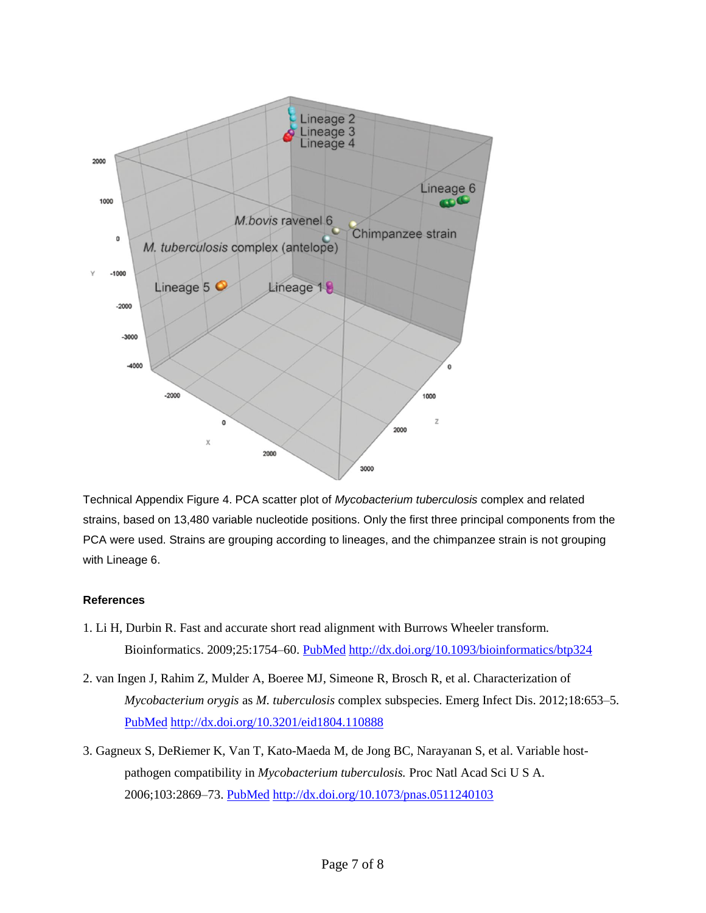

Technical Appendix Figure 4. PCA scatter plot of *Mycobacterium tuberculosis* complex and related strains, based on 13,480 variable nucleotide positions. Only the first three principal components from the PCA were used. Strains are grouping according to lineages, and the chimpanzee strain is not grouping with Lineage 6.

## **References**

- 1. Li H, Durbin R. Fast and accurate short read alignment with Burrows Wheeler transform. Bioinformatics. 2009;25:1754–60. [PubMed](http://www.ncbi.nlm.nih.gov/entrez/query.fcgi?cmd=Retrieve&db=PubMed&list_uids=19451168&dopt=Abstract) <http://dx.doi.org/10.1093/bioinformatics/btp324>
- 2. van Ingen J, Rahim Z, Mulder A, Boeree MJ, Simeone R, Brosch R, et al. Characterization of *Mycobacterium orygis* as *M. tuberculosis* complex subspecies. Emerg Infect Dis. 2012;18:653–5[.](http://www.ncbi.nlm.nih.gov/entrez/query.fcgi?cmd=Retrieve&db=PubMed&list_uids=22469053&dopt=Abstract) [PubMed](http://www.ncbi.nlm.nih.gov/entrez/query.fcgi?cmd=Retrieve&db=PubMed&list_uids=22469053&dopt=Abstract) <http://dx.doi.org/10.3201/eid1804.110888>
- 3. Gagneux S, DeRiemer K, Van T, Kato-Maeda M, de Jong BC, Narayanan S, et al. Variable hostpathogen compatibility in *Mycobacterium tuberculosis.* Proc Natl Acad Sci U S A. 2006;103:2869–73. [PubMed](http://www.ncbi.nlm.nih.gov/entrez/query.fcgi?cmd=Retrieve&db=PubMed&list_uids=16477032&dopt=Abstract) <http://dx.doi.org/10.1073/pnas.0511240103>